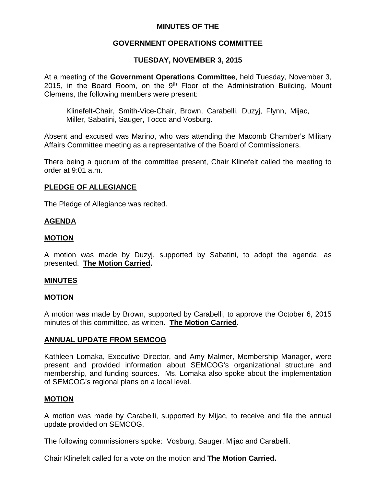### **MINUTES OF THE**

## **GOVERNMENT OPERATIONS COMMITTEE**

## **TUESDAY, NOVEMBER 3, 2015**

At a meeting of the **Government Operations Committee**, held Tuesday, November 3, 2015, in the Board Room, on the  $9<sup>th</sup>$  Floor of the Administration Building, Mount Clemens, the following members were present:

Klinefelt-Chair, Smith-Vice-Chair, Brown, Carabelli, Duzyj, Flynn, Mijac, Miller, Sabatini, Sauger, Tocco and Vosburg.

Absent and excused was Marino, who was attending the Macomb Chamber's Military Affairs Committee meeting as a representative of the Board of Commissioners.

There being a quorum of the committee present, Chair Klinefelt called the meeting to order at 9:01 a.m.

### **PLEDGE OF ALLEGIANCE**

The Pledge of Allegiance was recited.

# **AGENDA**

### **MOTION**

A motion was made by Duzyj, supported by Sabatini, to adopt the agenda, as presented. **The Motion Carried.**

#### **MINUTES**

### **MOTION**

A motion was made by Brown, supported by Carabelli, to approve the October 6, 2015 minutes of this committee, as written. **The Motion Carried.**

### **ANNUAL UPDATE FROM SEMCOG**

Kathleen Lomaka, Executive Director, and Amy Malmer, Membership Manager, were present and provided information about SEMCOG's organizational structure and membership, and funding sources. Ms. Lomaka also spoke about the implementation of SEMCOG's regional plans on a local level.

#### **MOTION**

A motion was made by Carabelli, supported by Mijac, to receive and file the annual update provided on SEMCOG.

The following commissioners spoke: Vosburg, Sauger, Mijac and Carabelli.

Chair Klinefelt called for a vote on the motion and **The Motion Carried.**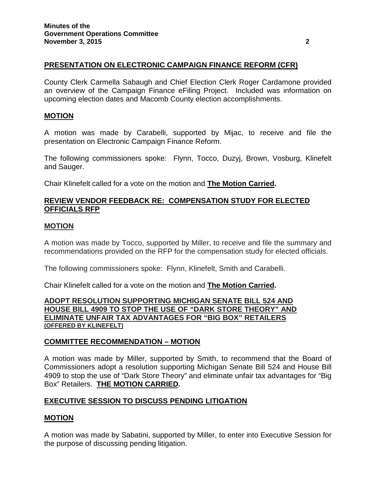## **PRESENTATION ON ELECTRONIC CAMPAIGN FINANCE REFORM (CFR)**

County Clerk Carmella Sabaugh and Chief Election Clerk Roger Cardamone provided an overview of the Campaign Finance eFiling Project. Included was information on upcoming election dates and Macomb County election accomplishments.

#### **MOTION**

A motion was made by Carabelli, supported by Mijac, to receive and file the presentation on Electronic Campaign Finance Reform.

The following commissioners spoke: Flynn, Tocco, Duzyj, Brown, Vosburg, Klinefelt and Sauger.

Chair Klinefelt called for a vote on the motion and **The Motion Carried.**

### **REVIEW VENDOR FEEDBACK RE: COMPENSATION STUDY FOR ELECTED OFFICIALS RFP**

#### **MOTION**

A motion was made by Tocco, supported by Miller, to receive and file the summary and recommendations provided on the RFP for the compensation study for elected officials.

The following commissioners spoke: Flynn, Klinefelt, Smith and Carabelli.

Chair Klinefelt called for a vote on the motion and **The Motion Carried.**

#### **ADOPT RESOLUTION SUPPORTING MICHIGAN SENATE BILL 524 AND HOUSE BILL 4909 TO STOP THE USE OF "DARK STORE THEORY" AND ELIMINATE UNFAIR TAX ADVANTAGES FOR "BIG BOX" RETAILERS (OFFERED BY KLINEFELT)**

### **COMMITTEE RECOMMENDATION – MOTION**

A motion was made by Miller, supported by Smith, to recommend that the Board of Commissioners adopt a resolution supporting Michigan Senate Bill 524 and House Bill 4909 to stop the use of "Dark Store Theory" and eliminate unfair tax advantages for "Big Box" Retailers. **THE MOTION CARRIED.**

### **EXECUTIVE SESSION TO DISCUSS PENDING LITIGATION**

### **MOTION**

A motion was made by Sabatini, supported by Miller, to enter into Executive Session for the purpose of discussing pending litigation.